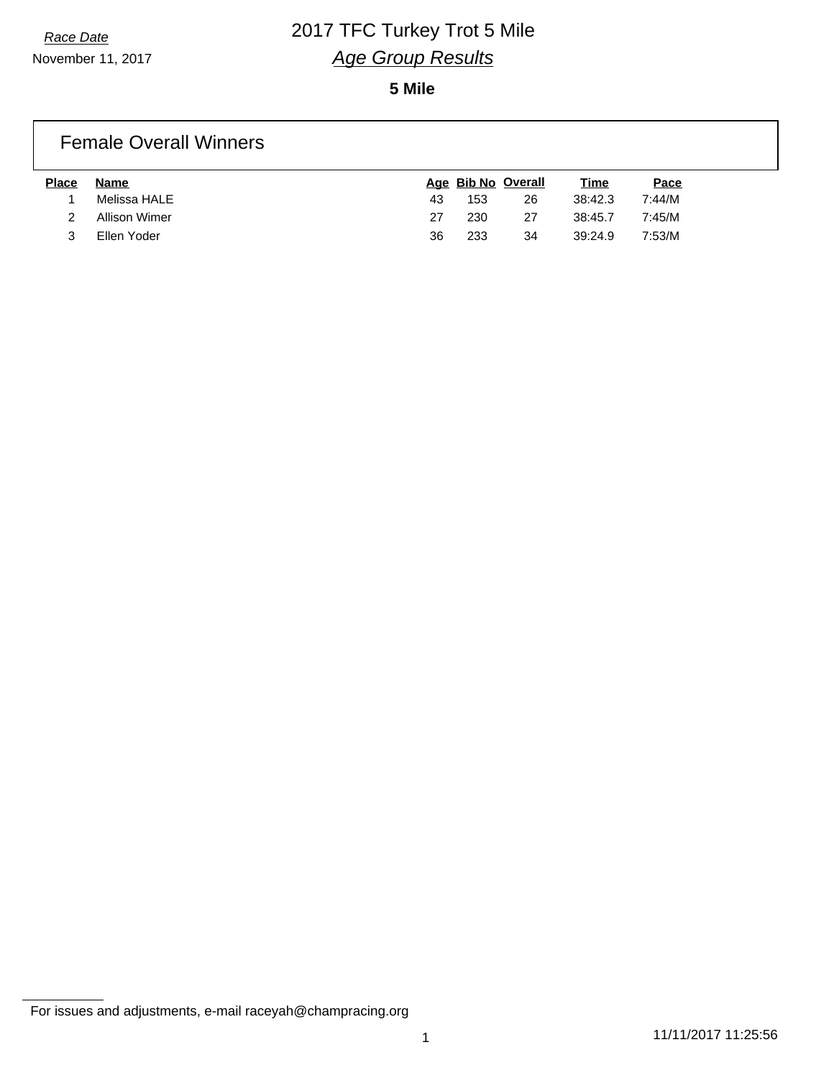November 11, 2017

#### **5 Mile**

#### Female Overall Winners

| <b>Place</b> | Name          |    |     | Age Bib No Overall | <u>Time</u> | Pace   |
|--------------|---------------|----|-----|--------------------|-------------|--------|
|              | Melissa HALE  | 43 | 153 | 26                 | 38:42.3     | 7:44/M |
|              | Allison Wimer | 27 | 230 | 27                 | 38:45.7     | 7:45/M |
|              | Ellen Yoder   | 36 | 233 | 34                 | 39:24.9     | 7:53/M |

For issues and adjustments, e-mail raceyah@champracing.org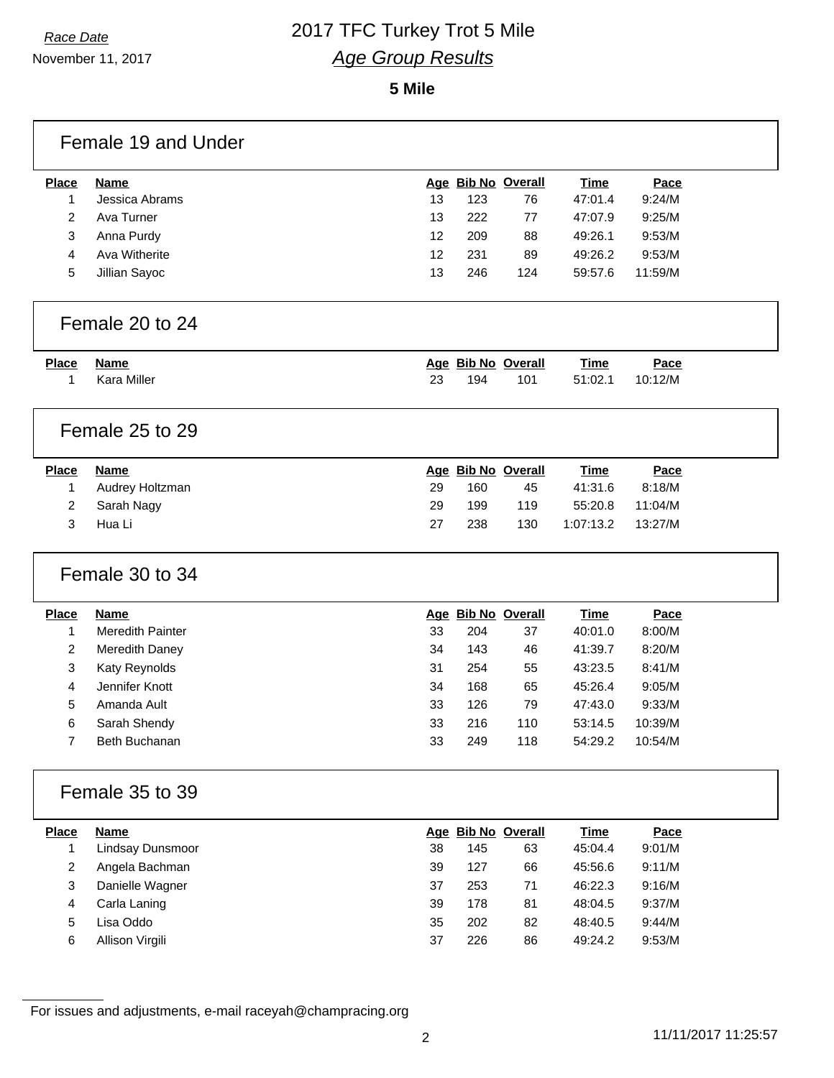November 11, 2017

#### **5 Mile**

| <b>Place</b>      | <b>Name</b>             |    |     | Age Bib No Overall | <b>Time</b> | Pace    |
|-------------------|-------------------------|----|-----|--------------------|-------------|---------|
| 1                 | Jessica Abrams          | 13 | 123 | 76                 | 47:01.4     | 9:24/M  |
| 2                 | Ava Turner              | 13 | 222 | 77                 | 47:07.9     | 9:25/M  |
| 3                 | Anna Purdy              | 12 | 209 | 88                 | 49:26.1     | 9:53/M  |
| 4                 | Ava Witherite           | 12 | 231 | 89                 | 49:26.2     | 9:53/M  |
| 5                 | Jillian Sayoc           | 13 | 246 | 124                | 59:57.6     | 11:59/M |
|                   | Female 20 to 24         |    |     |                    |             |         |
| <b>Place</b>      | <b>Name</b>             |    |     | Age Bib No Overall | <b>Time</b> | Pace    |
| 1                 | Kara Miller             | 23 | 194 | 101                | 51:02.1     | 10:12/M |
|                   | Female 25 to 29         |    |     |                    |             |         |
| <b>Place</b>      | <b>Name</b>             |    |     | Age Bib No Overall | <b>Time</b> | Pace    |
| 1                 | Audrey Holtzman         | 29 | 160 | 45                 | 41:31.6     | 8:18/M  |
|                   |                         |    |     |                    |             |         |
| 2                 | Sarah Nagy              | 29 | 199 | 119                | 55:20.8     | 11:04/M |
| 3                 | Hua Li                  | 27 | 238 | 130                | 1:07:13.2   | 13:27/M |
|                   | Female 30 to 34         |    |     |                    |             |         |
|                   | <b>Name</b>             |    |     | Age Bib No Overall | <b>Time</b> | Pace    |
| 1                 | <b>Meredith Painter</b> | 33 | 204 | 37                 | 40:01.0     | 8:00/M  |
| 2                 | Meredith Daney          | 34 | 143 | 46                 | 41:39.7     | 8:20/M  |
| 3                 | Katy Reynolds           | 31 | 254 | 55                 | 43:23.5     | 8:41/M  |
| 4                 | Jennifer Knott          | 34 | 168 | 65                 | 45:26.4     | 9:05/M  |
| 5                 | Amanda Ault             | 33 | 126 | 79                 | 47:43.0     | 9:33/M  |
| 6                 | Sarah Shendy            | 33 | 216 | 110                | 53:14.5     | 10:39/M |
| 7                 | Beth Buchanan           | 33 | 249 | 118                | 54:29.2     | 10:54/M |
| <b>Place</b>      | Female 35 to 39         |    |     |                    |             |         |
|                   | <b>Name</b>             |    |     | Age Bib No Overall | <b>Time</b> | Pace    |
| $\mathbf{1}$      | Lindsay Dunsmoor        | 38 | 145 | 63                 | 45:04.4     | 9:01/M  |
| $\overline{2}$    | Angela Bachman          | 39 | 127 | 66                 | 45:56.6     | 9:11/M  |
| 3                 | Danielle Wagner         | 37 | 253 | 71                 | 46:22.3     | 9:16/M  |
| <b>Place</b><br>4 | Carla Laning            | 39 | 178 | 81                 | 48:04.5     | 9:37/M  |
| 5                 | Lisa Oddo               | 35 | 202 | 82                 | 48:40.5     | 9:44/M  |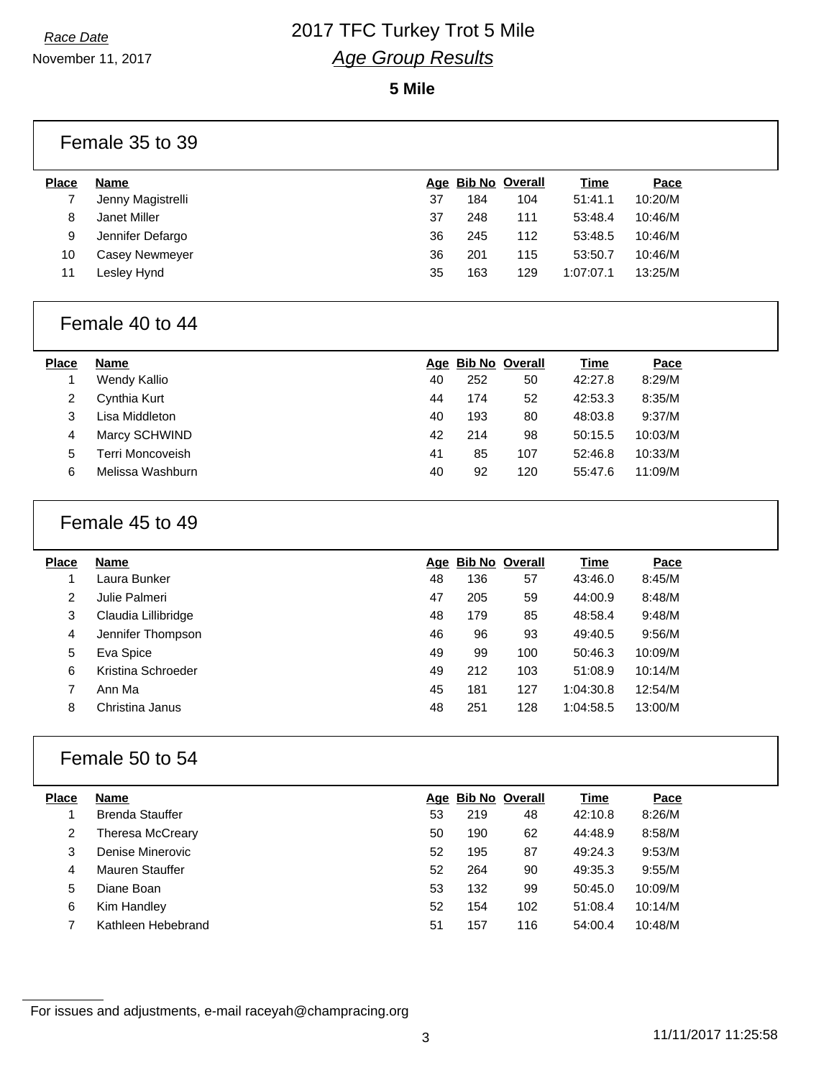November 11, 2017

#### **5 Mile**

|              | Female 35 to 39   |    |     |                    |             |         |
|--------------|-------------------|----|-----|--------------------|-------------|---------|
| <b>Place</b> | Name              |    |     | Age Bib No Overall | <b>Time</b> | Pace    |
|              | Jenny Magistrelli | 37 | 184 | 104                | 51:41.1     | 10:20/M |
| 8            | Janet Miller      | 37 | 248 | 111                | 53:48.4     | 10:46/M |
| 9            | Jennifer Defargo  | 36 | 245 | 112                | 53:48.5     | 10:46/M |
| 10           | Casey Newmeyer    | 36 | 201 | 115                | 53:50.7     | 10:46/M |
| 11           | Lesley Hynd       | 35 | 163 | 129                | 1:07:07.1   | 13:25/M |

#### Female 40 to 44

| <b>Place</b> | <b>Name</b>      |    | Age Bib No Overall |     | Time    | Pace    |
|--------------|------------------|----|--------------------|-----|---------|---------|
|              | Wendy Kallio     | 40 | 252                | 50  | 42:27.8 | 8:29/M  |
|              | Cynthia Kurt     | 44 | 174                | 52  | 42:53.3 | 8:35/M  |
| 3            | Lisa Middleton   | 40 | 193                | 80  | 48:03.8 | 9:37/M  |
| 4            | Marcy SCHWIND    | 42 | 214                | 98  | 50:15.5 | 10:03/M |
| 5            | Terri Moncoveish | 41 | 85                 | 107 | 52:46.8 | 10:33/M |
| 6            | Melissa Washburn | 40 | 92                 | 120 | 55:47.6 | 11:09/M |

## Female 45 to 49

| Place | Name                |    | Age Bib No Overall |     | Time      | Pace    |
|-------|---------------------|----|--------------------|-----|-----------|---------|
|       | Laura Bunker        | 48 | 136                | 57  | 43:46.0   | 8:45/M  |
| 2     | Julie Palmeri       | 47 | 205                | 59  | 44:00.9   | 8:48/M  |
| 3     | Claudia Lillibridge | 48 | 179                | 85  | 48:58.4   | 9:48/M  |
| 4     | Jennifer Thompson   | 46 | 96                 | 93  | 49:40.5   | 9:56/M  |
| 5     | Eva Spice           | 49 | 99                 | 100 | 50:46.3   | 10:09/M |
| 6     | Kristina Schroeder  | 49 | 212                | 103 | 51:08.9   | 10:14/M |
|       | Ann Ma              | 45 | 181                | 127 | 1:04:30.8 | 12:54/M |
| 8     | Christina Janus     | 48 | 251                | 128 | 1:04:58.5 | 13:00/M |

## Female 50 to 54

| <b>Place</b> | Name                   |    |     | Age Bib No Overall | Time    | Pace    |
|--------------|------------------------|----|-----|--------------------|---------|---------|
|              | <b>Brenda Stauffer</b> | 53 | 219 | 48                 | 42:10.8 | 8:26/M  |
| 2            | Theresa McCreary       | 50 | 190 | 62                 | 44:48.9 | 8:58/M  |
| 3            | Denise Minerovic       | 52 | 195 | 87                 | 49:24.3 | 9:53/M  |
| 4            | Mauren Stauffer        | 52 | 264 | 90                 | 49:35.3 | 9:55/M  |
| 5.           | Diane Boan             | 53 | 132 | 99                 | 50:45.0 | 10:09/M |
| 6            | Kim Handley            | 52 | 154 | 102                | 51:08.4 | 10:14/M |
|              | Kathleen Hebebrand     | 51 | 157 | 116                | 54:00.4 | 10:48/M |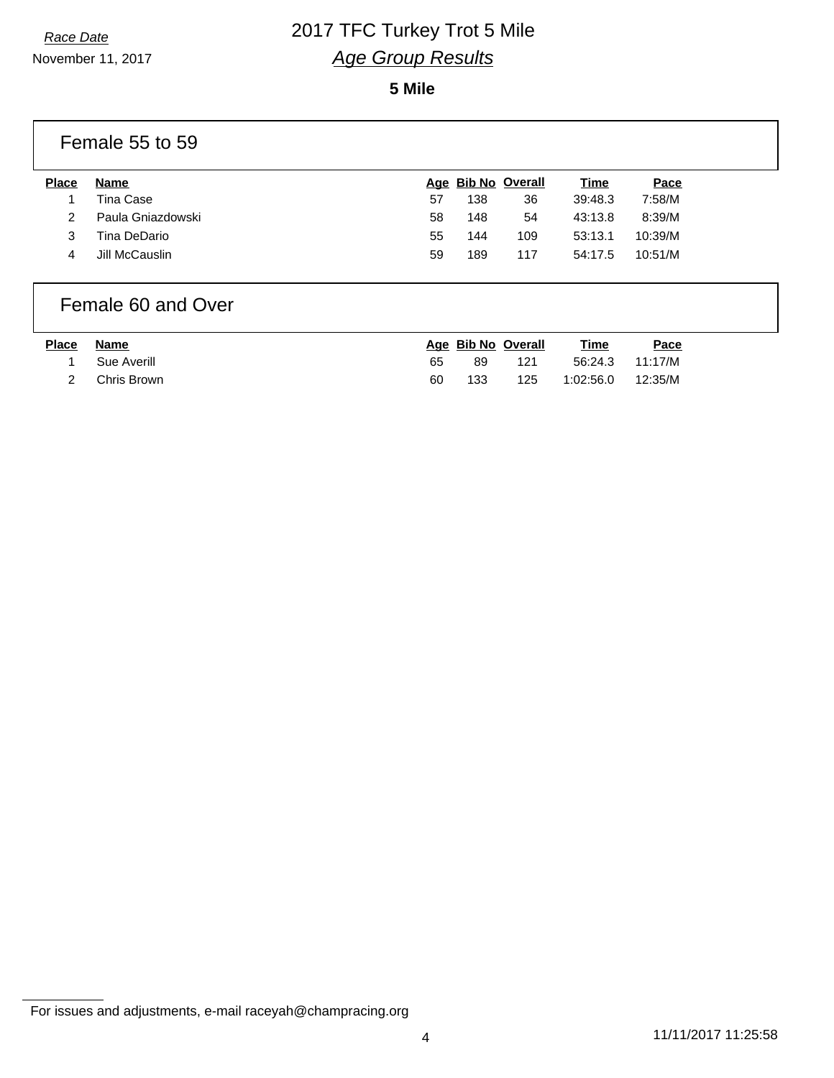November 11, 2017

#### **5 Mile**

## Female 55 to 59

| <b>Place</b> | <b>Name</b>       |    | Age Bib No Overall |     | <u>Time</u> | <b>Pace</b> |  |
|--------------|-------------------|----|--------------------|-----|-------------|-------------|--|
|              | Tina Case         | 57 | 138                | 36  | 39:48.3     | 7:58/M      |  |
|              | Paula Gniazdowski | 58 | 148                | 54  | 43:13.8     | 8:39/M      |  |
|              | Tina DeDario      | 55 | 144                | 109 | 53:13.1     | 10:39/M     |  |
| 4            | Jill McCauslin    | 59 | 189                | 117 | 54:17.5     | 10:51/M     |  |
|              |                   |    |                    |     |             |             |  |

## Female 60 and Over

| <b>Place</b> | Name        |    | Age Bib No Overall |     | Time      | Pace    |
|--------------|-------------|----|--------------------|-----|-----------|---------|
|              | Sue Averill | 65 | 89                 | 121 | 56:24.3   | 11:17/M |
|              | Chris Brown | 60 | 133                | 125 | 1:02:56.0 | 12:35/M |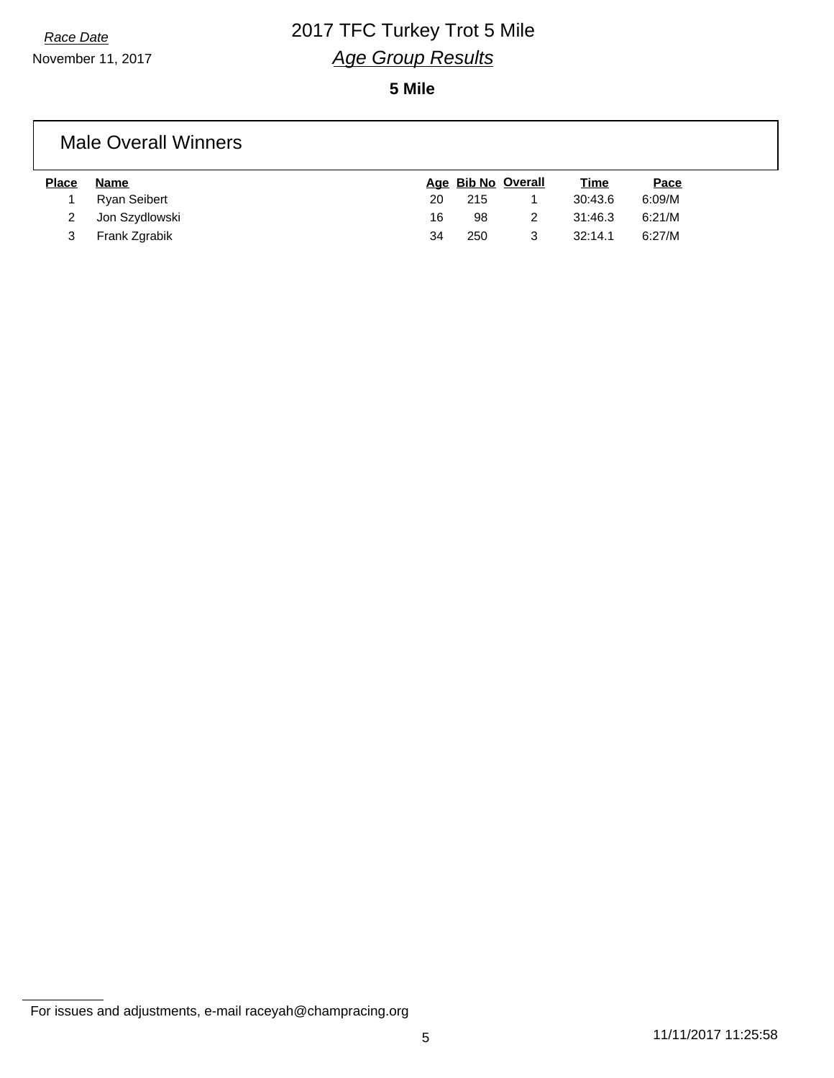November 11, 2017

**5 Mile**

### Male Overall Winners

| <b>Place</b> | Name             |    | Age Bib No Overall | <u>Time</u> | Pace   |
|--------------|------------------|----|--------------------|-------------|--------|
|              | Ryan Seibert     | 20 | 215                | 30:43.6     | 6:09/M |
|              | 2 Jon Szydlowski | 16 | 98                 | 31:46.3     | 6:21/M |
|              | Frank Zgrabik    | 34 | 250                | 32:14.1     | 6:27/M |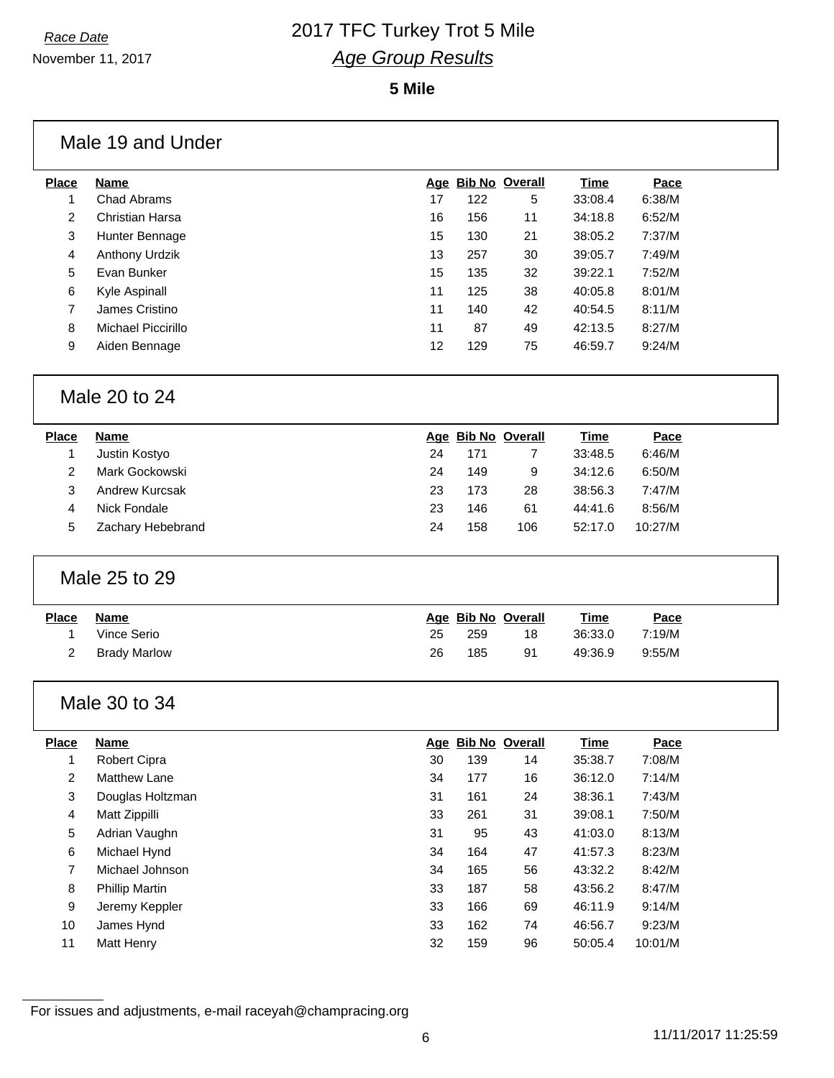#### **5 Mile**

#### Male 19 and Under

| Place | <b>Name</b>        |    | Age Bib No Overall |    | Time    | Pace   |
|-------|--------------------|----|--------------------|----|---------|--------|
| 1     | Chad Abrams        | 17 | 122                | 5  | 33:08.4 | 6:38/M |
| 2     | Christian Harsa    | 16 | 156                | 11 | 34:18.8 | 6:52/M |
| 3     | Hunter Bennage     | 15 | 130                | 21 | 38:05.2 | 7:37/M |
| 4     | Anthony Urdzik     | 13 | 257                | 30 | 39:05.7 | 7:49/M |
| 5     | Evan Bunker        | 15 | 135                | 32 | 39:22.1 | 7:52/M |
| 6     | Kyle Aspinall      | 11 | 125                | 38 | 40:05.8 | 8:01/M |
| 7     | James Cristino     | 11 | 140                | 42 | 40:54.5 | 8:11/M |
| 8     | Michael Piccirillo | 11 | 87                 | 49 | 42:13.5 | 8:27/M |
| 9     | Aiden Bennage      | 12 | 129                | 75 | 46:59.7 | 9:24/M |
|       |                    |    |                    |    |         |        |

#### Male 20 to 24

| <b>Place</b> | <b>Name</b>       |    |     | Age Bib No Overall | Time    | Pace    |
|--------------|-------------------|----|-----|--------------------|---------|---------|
|              | Justin Kostyo     | 24 | 171 |                    | 33:48.5 | 6:46/M  |
|              | Mark Gockowski    | 24 | 149 | 9                  | 34:12.6 | 6:50/M  |
|              | Andrew Kurcsak    | 23 | 173 | 28                 | 38:56.3 | 7:47/M  |
| 4            | Nick Fondale      | 23 | 146 | 61                 | 44:41.6 | 8:56/M  |
| 5            | Zachary Hebebrand | 24 | 158 | 106                | 52:17.0 | 10:27/M |

#### Male 25 to 29

| Place | Name                |    | Age Bib No Overall |    | <b>Time</b> | <u>Pace</u> |  |
|-------|---------------------|----|--------------------|----|-------------|-------------|--|
|       | Vince Serio         | 25 | 259                | 18 | 36:33.0     | 7:19/M      |  |
|       | <b>Brady Marlow</b> | 26 | 185                | 91 | 49:36.9     | 9:55/M      |  |

#### Male 30 to 34

| <b>Place</b> | <b>Name</b>           |    | Age Bib No Overall |    | Time    | Pace    |
|--------------|-----------------------|----|--------------------|----|---------|---------|
| 1            | <b>Robert Cipra</b>   | 30 | 139                | 14 | 35:38.7 | 7:08/M  |
| 2            | Matthew Lane          | 34 | 177                | 16 | 36:12.0 | 7:14/M  |
| 3            | Douglas Holtzman      | 31 | 161                | 24 | 38:36.1 | 7:43/M  |
| 4            | Matt Zippilli         | 33 | 261                | 31 | 39:08.1 | 7:50/M  |
| 5            | Adrian Vaughn         | 31 | 95                 | 43 | 41:03.0 | 8:13/M  |
| 6            | Michael Hynd          | 34 | 164                | 47 | 41:57.3 | 8:23/M  |
| 7            | Michael Johnson       | 34 | 165                | 56 | 43:32.2 | 8:42/M  |
| 8            | <b>Phillip Martin</b> | 33 | 187                | 58 | 43:56.2 | 8:47/M  |
| 9            | Jeremy Keppler        | 33 | 166                | 69 | 46:11.9 | 9:14/M  |
| 10           | James Hynd            | 33 | 162                | 74 | 46:56.7 | 9:23/M  |
| 11           | Matt Henry            | 32 | 159                | 96 | 50:05.4 | 10:01/M |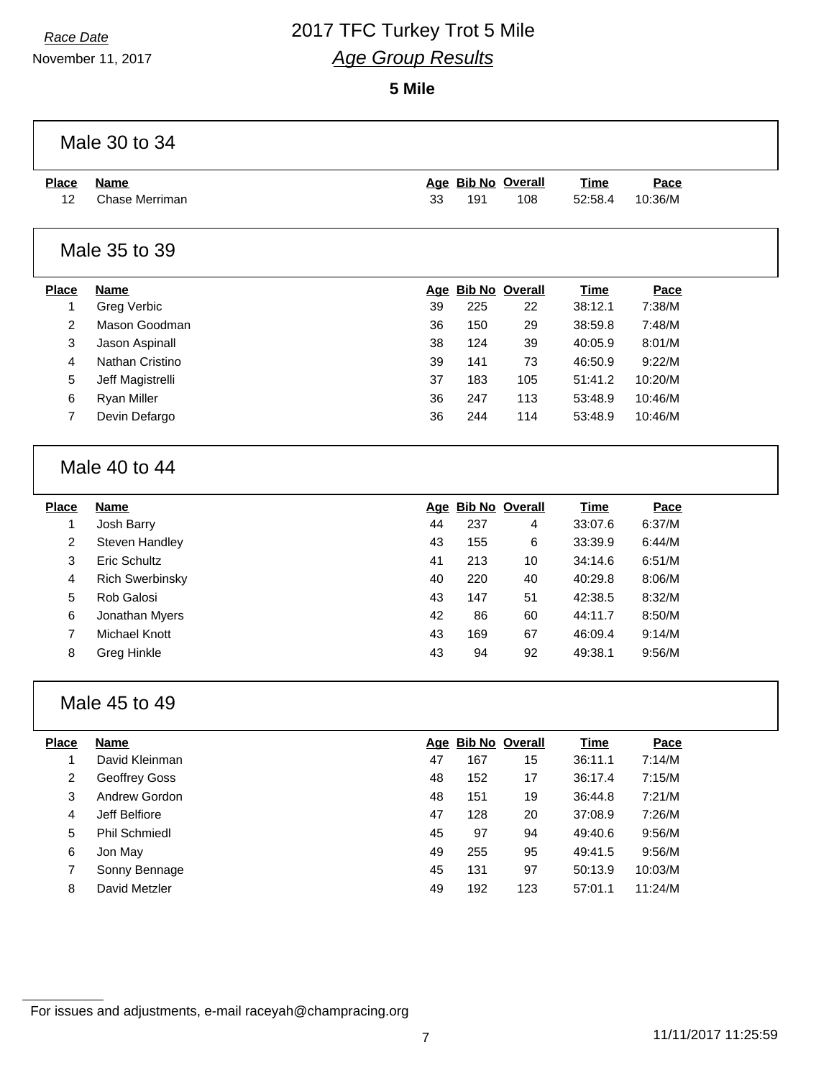November 11, 2017

#### **5 Mile**

| Male 30 to 34  |                        |    |     |                    |             |         |  |  |
|----------------|------------------------|----|-----|--------------------|-------------|---------|--|--|
| <b>Place</b>   | <b>Name</b>            |    |     | Age Bib No Overall | <b>Time</b> | Pace    |  |  |
| 12             | Chase Merriman         | 33 | 191 | 108                | 52:58.4     | 10:36/M |  |  |
|                |                        |    |     |                    |             |         |  |  |
|                | Male 35 to 39          |    |     |                    |             |         |  |  |
| <b>Place</b>   | <b>Name</b>            |    |     | Age Bib No Overall | <b>Time</b> | Pace    |  |  |
| 1              | Greg Verbic            | 39 | 225 | 22                 | 38:12.1     | 7:38/M  |  |  |
| 2              | Mason Goodman          | 36 | 150 | 29                 | 38:59.8     | 7:48/M  |  |  |
| 3              | Jason Aspinall         | 38 | 124 | 39                 | 40:05.9     | 8:01/M  |  |  |
| 4              | Nathan Cristino        | 39 | 141 | 73                 | 46:50.9     | 9:22/M  |  |  |
| 5              | Jeff Magistrelli       | 37 | 183 | 105                | 51:41.2     | 10:20/M |  |  |
| 6              | Ryan Miller            | 36 | 247 | 113                | 53:48.9     | 10:46/M |  |  |
| 7              | Devin Defargo          | 36 | 244 | 114                | 53:48.9     | 10:46/M |  |  |
|                |                        |    |     |                    |             |         |  |  |
|                | Male 40 to 44          |    |     |                    |             |         |  |  |
|                |                        |    |     |                    |             |         |  |  |
| Place          | <b>Name</b>            |    |     | Age Bib No Overall | <b>Time</b> | Pace    |  |  |
| 1              | Josh Barry             | 44 | 237 | 4                  | 33:07.6     | 6:37/M  |  |  |
| $\overline{c}$ | Steven Handley         | 43 | 155 | 6                  | 33:39.9     | 6:44/M  |  |  |
| 3              | <b>Eric Schultz</b>    | 41 | 213 | 10                 | 34:14.6     | 6:51/M  |  |  |
| 4              | <b>Rich Swerbinsky</b> | 40 | 220 | 40                 | 40:29.8     | 8:06/M  |  |  |
| 5              | Rob Galosi             | 43 | 147 | 51                 | 42:38.5     | 8:32/M  |  |  |
| 6              | Jonathan Myers         | 42 | 86  | 60                 | 44:11.7     | 8:50/M  |  |  |
| 7              | <b>Michael Knott</b>   | 43 | 169 | 67                 | 46:09.4     | 9:14/M  |  |  |
| 8              | Greg Hinkle            | 43 | 94  | 92                 | 49:38.1     | 9:56/M  |  |  |
|                |                        |    |     |                    |             |         |  |  |
|                | Male 45 to 49          |    |     |                    |             |         |  |  |
| <b>Place</b>   | <u>Name</u>            |    |     | Age Bib No Overall | <b>Time</b> | Pace    |  |  |
| 1              | David Kleinman         | 47 | 167 | 15                 | 36:11.1     | 7:14/M  |  |  |
| $\overline{c}$ | Geoffrey Goss          | 48 | 152 | 17                 | 36:17.4     | 7:15/M  |  |  |
| 3              | Andrew Gordon          | 48 | 151 | 19                 | 36:44.8     | 7:21/M  |  |  |
| 4              | Jeff Belfiore          | 47 | 128 | 20                 | 37:08.9     | 7:26/M  |  |  |
| 5              | Phil Schmiedl          | 45 | 97  | 94                 | 49:40.6     | 9:56/M  |  |  |
| 6              | Jon May                | 49 | 255 | 95                 | 49:41.5     | 9:56/M  |  |  |
| 7              | Sonny Bennage          | 45 | 131 | 97                 | 50:13.9     | 10:03/M |  |  |
| 8              | David Metzler          | 49 | 192 | 123                | 57:01.1     | 11:24/M |  |  |
|                |                        |    |     |                    |             |         |  |  |